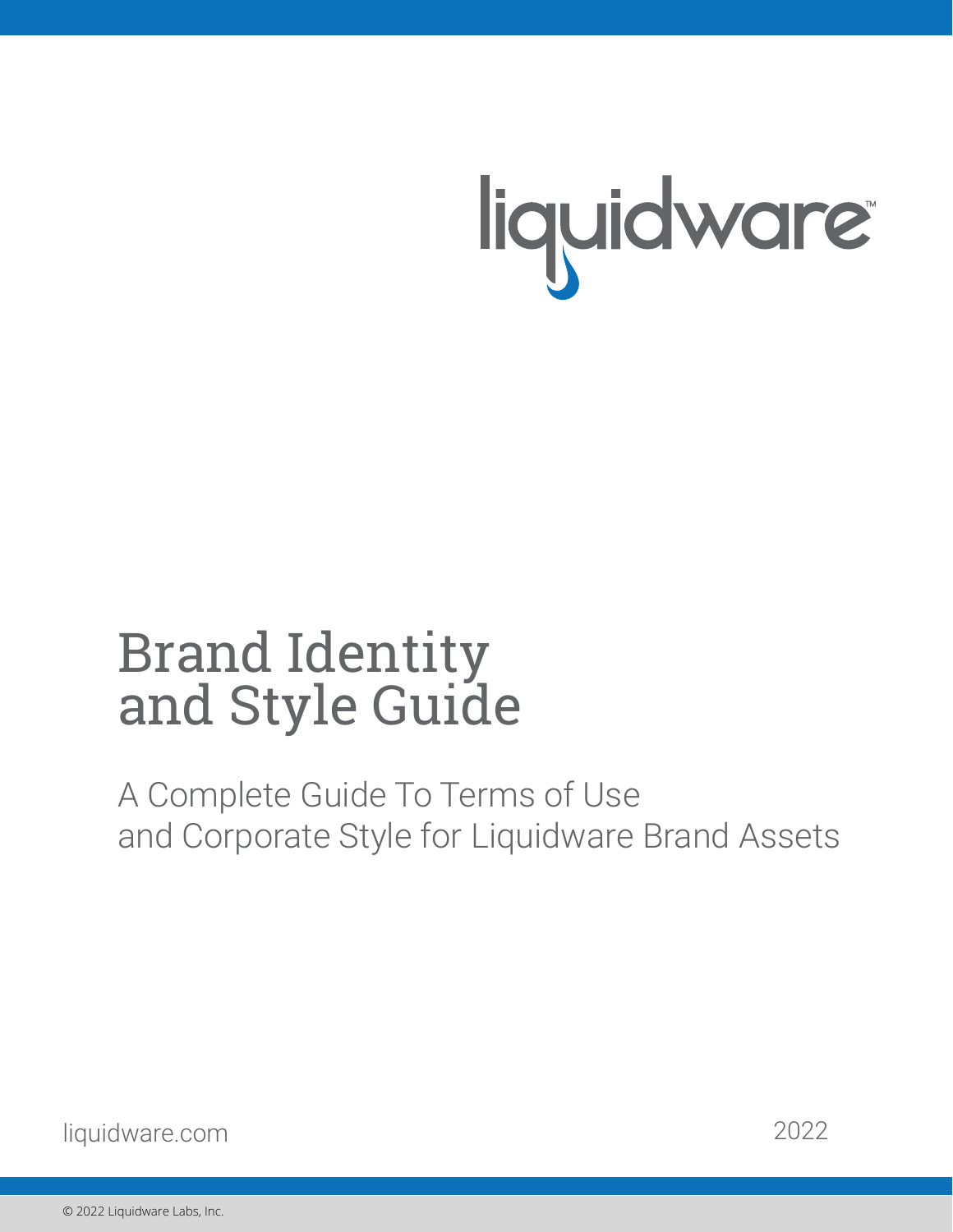### Brand Identity and Style Guide

A Complete Guide To Terms of Use and Corporate Style for Liquidware Brand Assets

liquidware.com 2022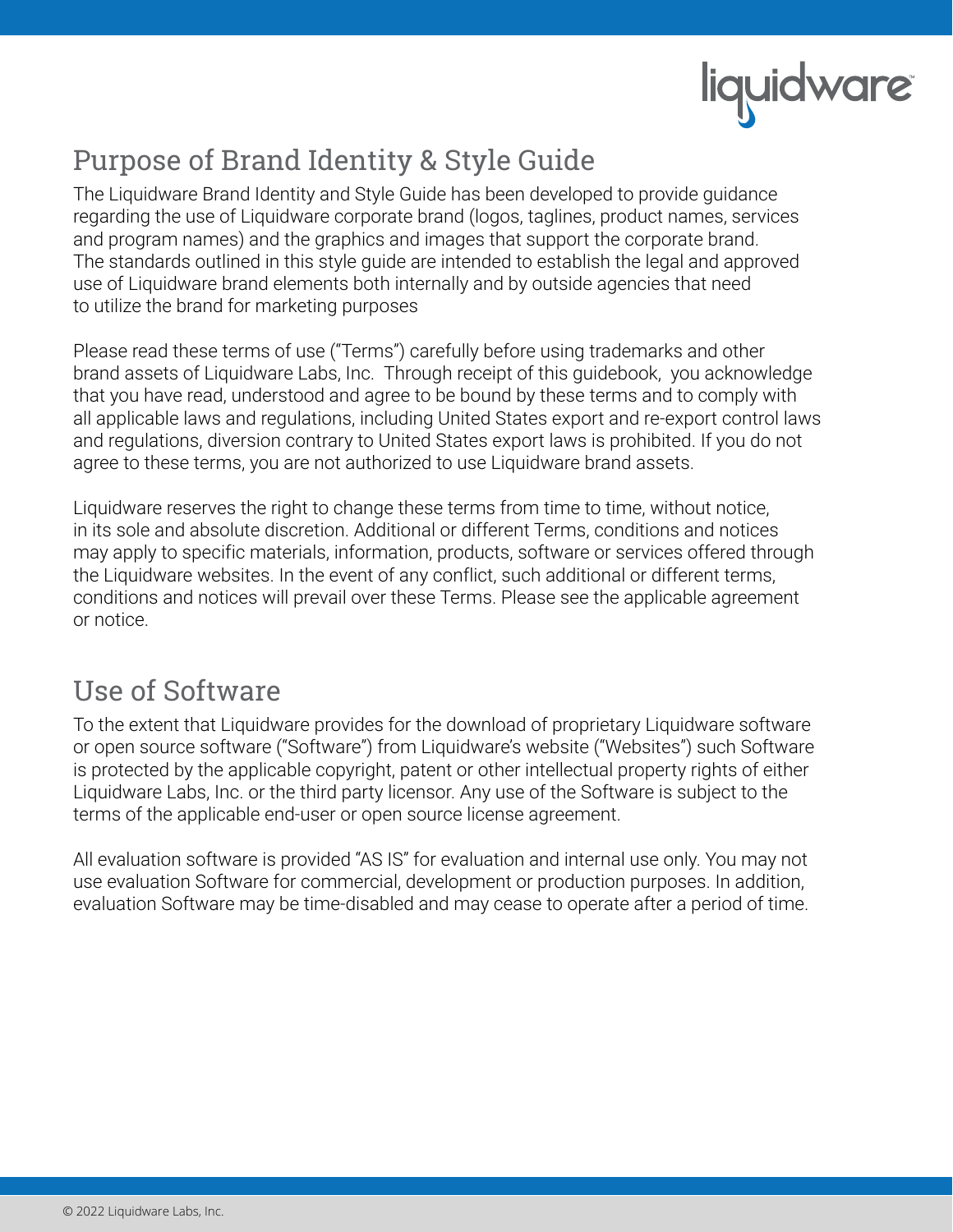

#### Purpose of Brand Identity & Style Guide

The Liquidware Brand Identity and Style Guide has been developed to provide guidance regarding the use of Liquidware corporate brand (logos, taglines, product names, services and program names) and the graphics and images that support the corporate brand. The standards outlined in this style guide are intended to establish the legal and approved use of Liquidware brand elements both internally and by outside agencies that need to utilize the brand for marketing purposes

Please read these terms of use ("Terms") carefully before using trademarks and other brand assets of Liquidware Labs, Inc. Through receipt of this guidebook, you acknowledge that you have read, understood and agree to be bound by these terms and to comply with all applicable laws and regulations, including United States export and re-export control laws and regulations, diversion contrary to United States export laws is prohibited. If you do not agree to these terms, you are not authorized to use Liquidware brand assets.

Liquidware reserves the right to change these terms from time to time, without notice, in its sole and absolute discretion. Additional or different Terms, conditions and notices may apply to specific materials, information, products, software or services offered through the Liquidware websites. In the event of any conflict, such additional or different terms, conditions and notices will prevail over these Terms. Please see the applicable agreement or notice.

#### Use of Software

To the extent that Liquidware provides for the download of proprietary Liquidware software or open source software ("Software") from Liquidware's website ("Websites") such Software is protected by the applicable copyright, patent or other intellectual property rights of either Liquidware Labs, Inc. or the third party licensor. Any use of the Software is subject to the terms of the applicable end-user or open source license agreement.

All evaluation software is provided "AS IS" for evaluation and internal use only. You may not use evaluation Software for commercial, development or production purposes. In addition, evaluation Software may be time-disabled and may cease to operate after a period of time.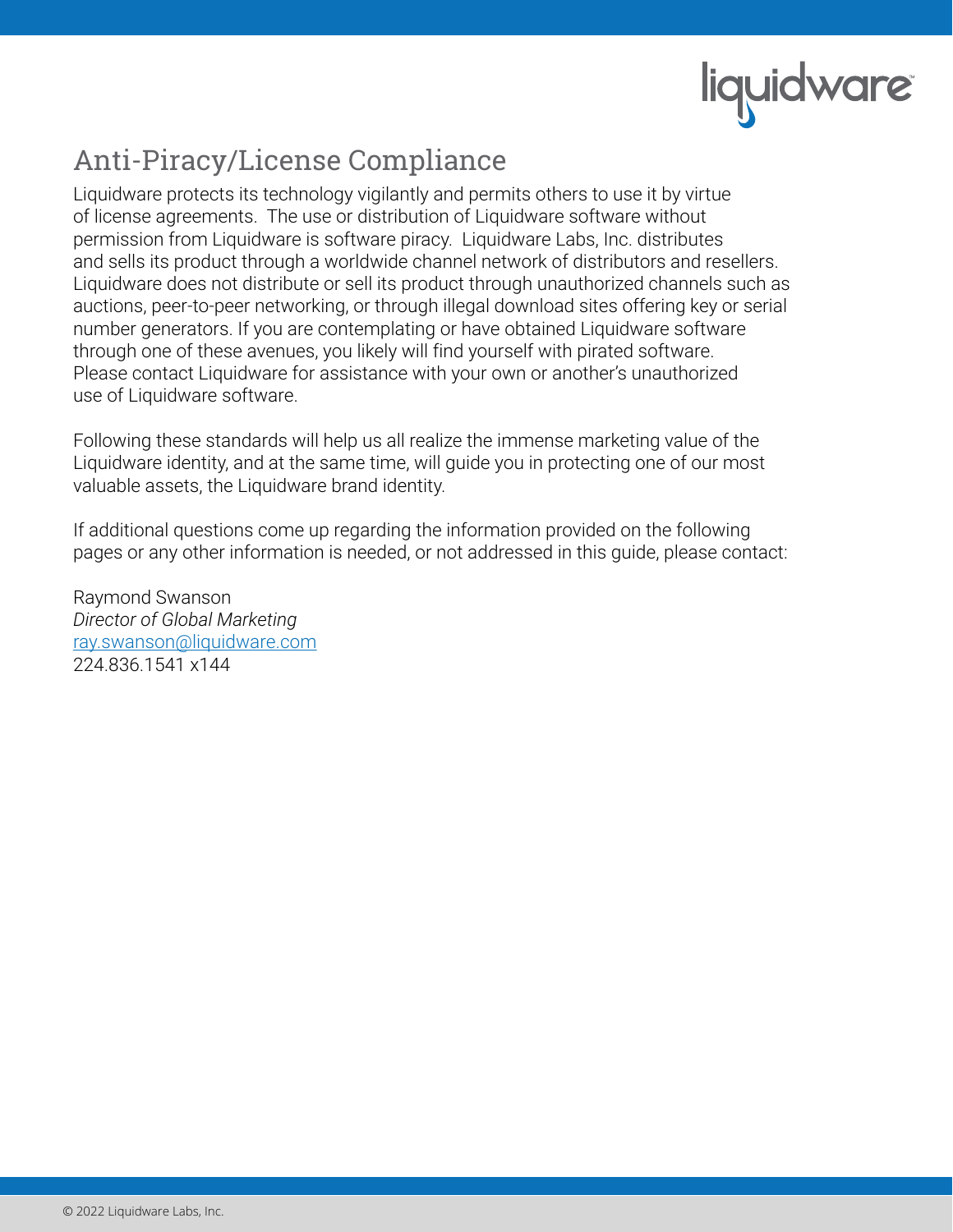

#### Anti-Piracy/License Compliance

Liquidware protects its technology vigilantly and permits others to use it by virtue of license agreements. The use or distribution of Liquidware software without permission from Liquidware is software piracy. Liquidware Labs, Inc. distributes and sells its product through a worldwide channel network of distributors and resellers. Liquidware does not distribute or sell its product through unauthorized channels such as auctions, peer-to-peer networking, or through illegal download sites offering key or serial number generators. If you are contemplating or have obtained Liquidware software through one of these avenues, you likely will find yourself with pirated software. Please contact Liquidware for assistance with your own or another's unauthorized use of Liquidware software.

Following these standards will help us all realize the immense marketing value of the Liquidware identity, and at the same time, will guide you in protecting one of our most valuable assets, the Liquidware brand identity.

If additional questions come up regarding the information provided on the following pages or any other information is needed, or not addressed in this guide, please contact:

Raymond Swanson *Director of Global Marketing* ray.swanson@liquidware.com 224.836.1541 x144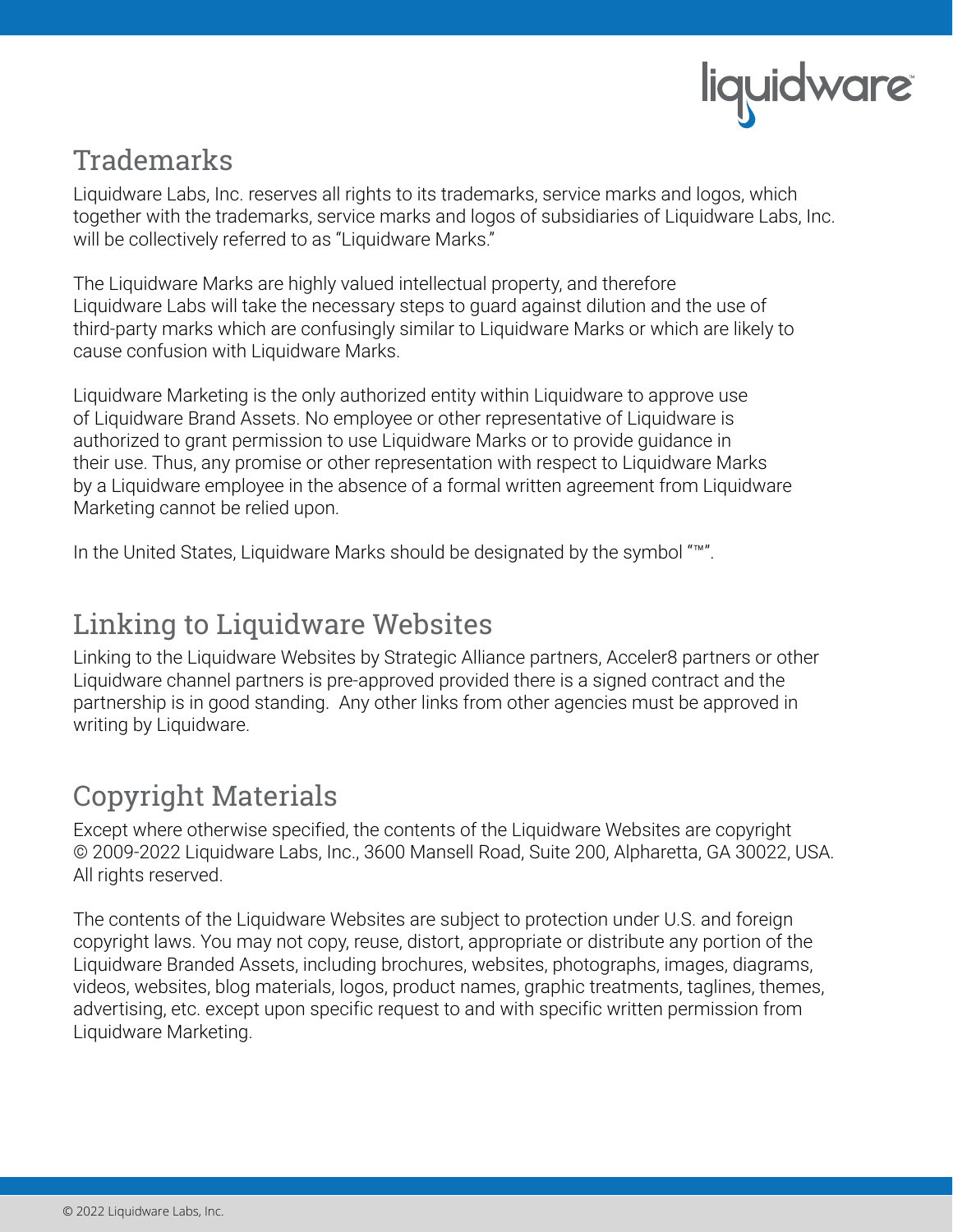

#### **Trademarks**

Liquidware Labs, Inc. reserves all rights to its trademarks, service marks and logos, which together with the trademarks, service marks and logos of subsidiaries of Liquidware Labs, Inc. will be collectively referred to as "Liquidware Marks."

The Liquidware Marks are highly valued intellectual property, and therefore Liquidware Labs will take the necessary steps to guard against dilution and the use of third-party marks which are confusingly similar to Liquidware Marks or which are likely to cause confusion with Liquidware Marks.

Liquidware Marketing is the only authorized entity within Liquidware to approve use of Liquidware Brand Assets. No employee or other representative of Liquidware is authorized to grant permission to use Liquidware Marks or to provide guidance in their use. Thus, any promise or other representation with respect to Liquidware Marks by a Liquidware employee in the absence of a formal written agreement from Liquidware Marketing cannot be relied upon.

In the United States, Liquidware Marks should be designated by the symbol "™".

#### Linking to Liquidware Websites

Linking to the Liquidware Websites by Strategic Alliance partners, Acceler8 partners or other Liquidware channel partners is pre-approved provided there is a signed contract and the partnership is in good standing. Any other links from other agencies must be approved in writing by Liquidware.

#### Copyright Materials

Except where otherwise specified, the contents of the Liquidware Websites are copyright © 2009-2022 Liquidware Labs, Inc., 3600 Mansell Road, Suite 200, Alpharetta, GA 30022, USA. All rights reserved.

The contents of the Liquidware Websites are subject to protection under U.S. and foreign copyright laws. You may not copy, reuse, distort, appropriate or distribute any portion of the Liquidware Branded Assets, including brochures, websites, photographs, images, diagrams, videos, websites, blog materials, logos, product names, graphic treatments, taglines, themes, advertising, etc. except upon specific request to and with specific written permission from Liquidware Marketing.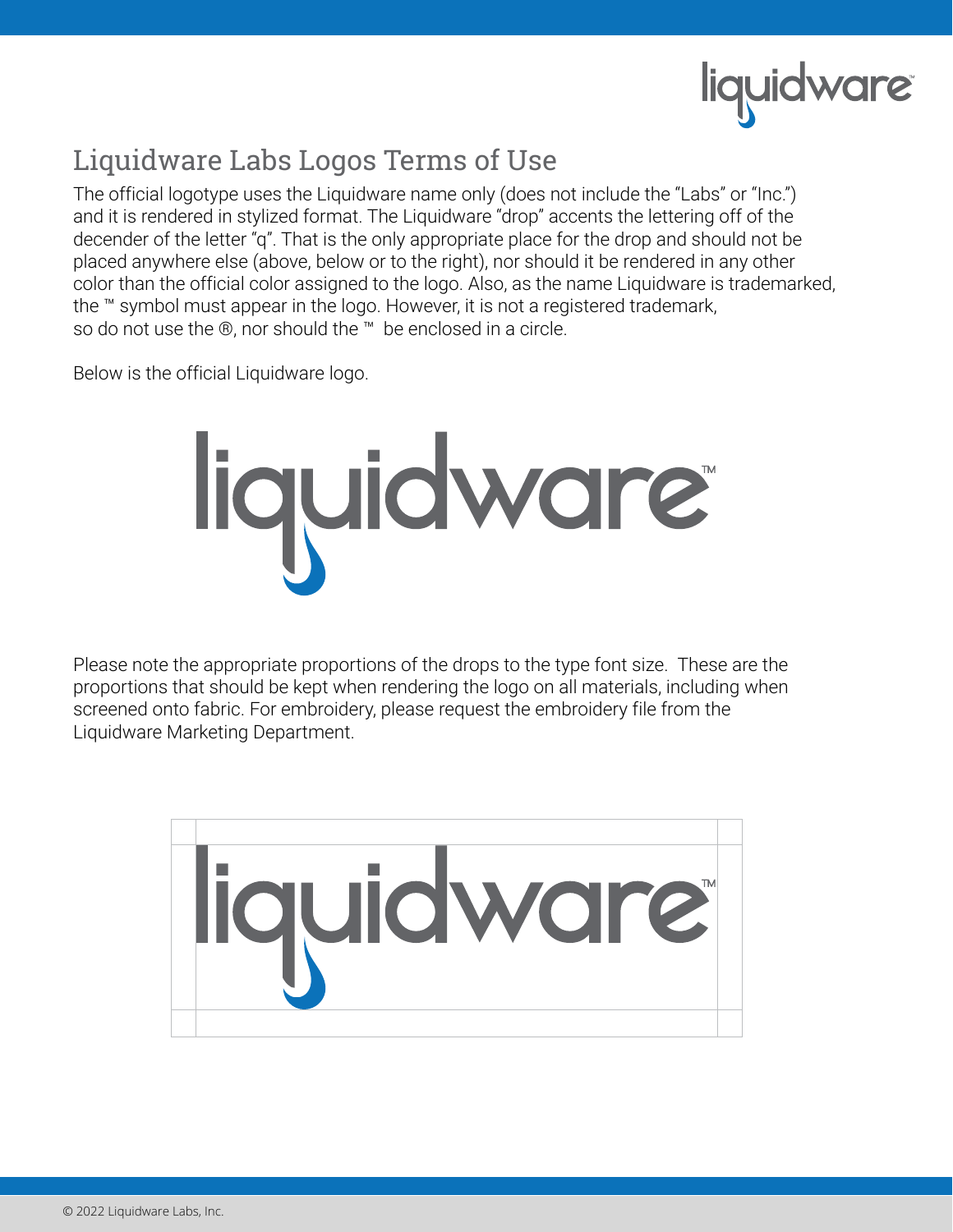

#### Liquidware Labs Logos Terms of Use

The official logotype uses the Liquidware name only (does not include the "Labs" or "Inc.") and it is rendered in stylized format. The Liquidware "drop" accents the lettering off of the decender of the letter "q". That is the only appropriate place for the drop and should not be placed anywhere else (above, below or to the right), nor should it be rendered in any other color than the official color assigned to the logo. Also, as the name Liquidware is trademarked, the ™ symbol must appear in the logo. However, it is not a registered trademark, so do not use the ®, nor should the ™ be enclosed in a circle.

Below is the official Liquidware logo.



Please note the appropriate proportions of the drops to the type font size. These are the proportions that should be kept when rendering the logo on all materials, including when screened onto fabric. For embroidery, please request the embroidery file from the Liquidware Marketing Department.

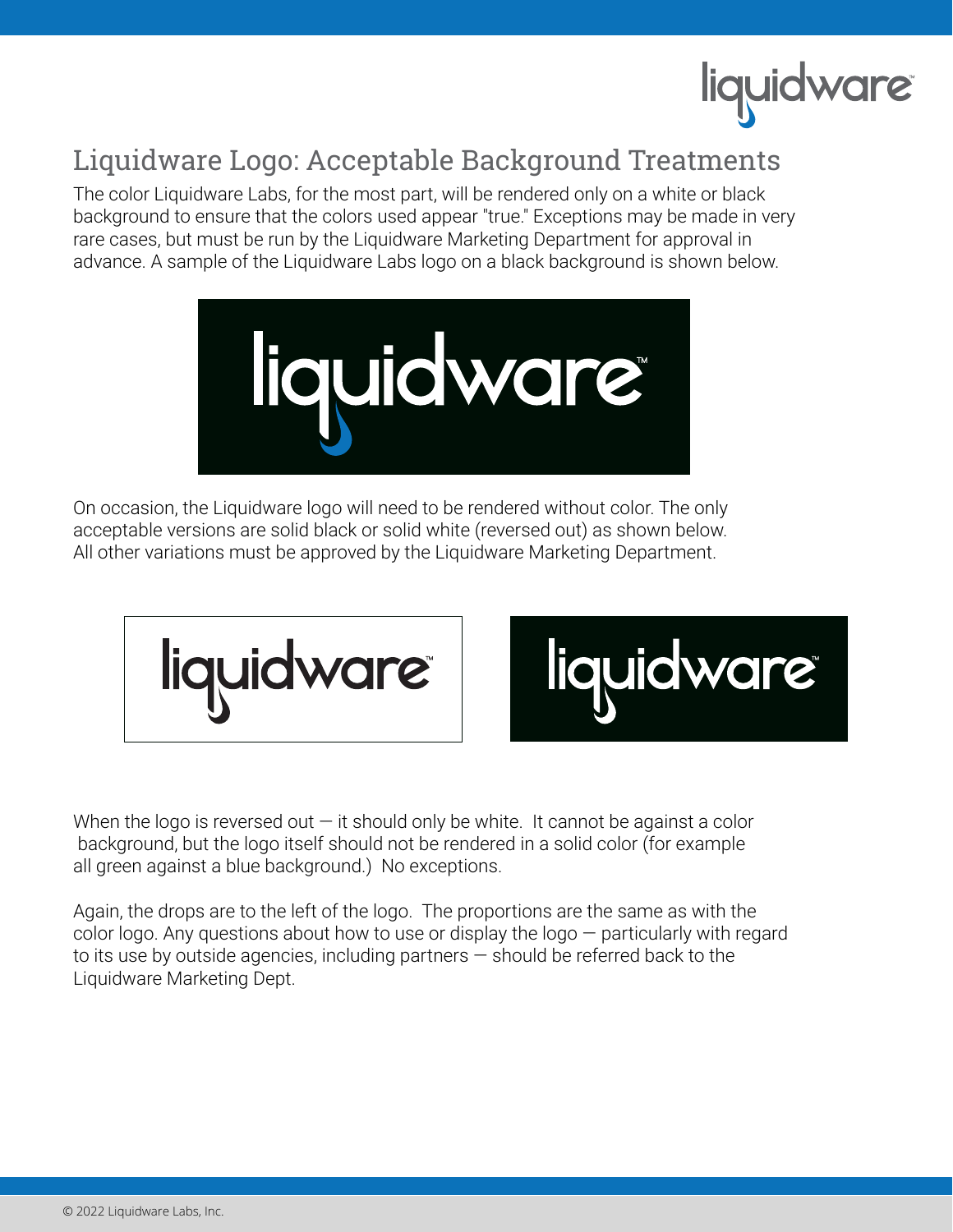#### Liquidware Logo: Acceptable Background Treatments

The color Liquidware Labs, for the most part, will be rendered only on a white or black background to ensure that the colors used appear "true." Exceptions may be made in very rare cases, but must be run by the Liquidware Marketing Department for approval in advance. A sample of the Liquidware Labs logo on a black background is shown below.



On occasion, the Liquidware logo will need to be rendered without color. The only acceptable versions are solid black or solid white (reversed out) as shown below. All other variations must be approved by the Liquidware Marketing Department.





When the logo is reversed out  $-$  it should only be white. It cannot be against a color background, but the logo itself should not be rendered in a solid color (for example all green against a blue background.) No exceptions.

Again, the drops are to the left of the logo. The proportions are the same as with the color logo. Any questions about how to use or display the logo  $-$  particularly with regard to its use by outside agencies, including partners  $-$  should be referred back to the Liquidware Marketing Dept.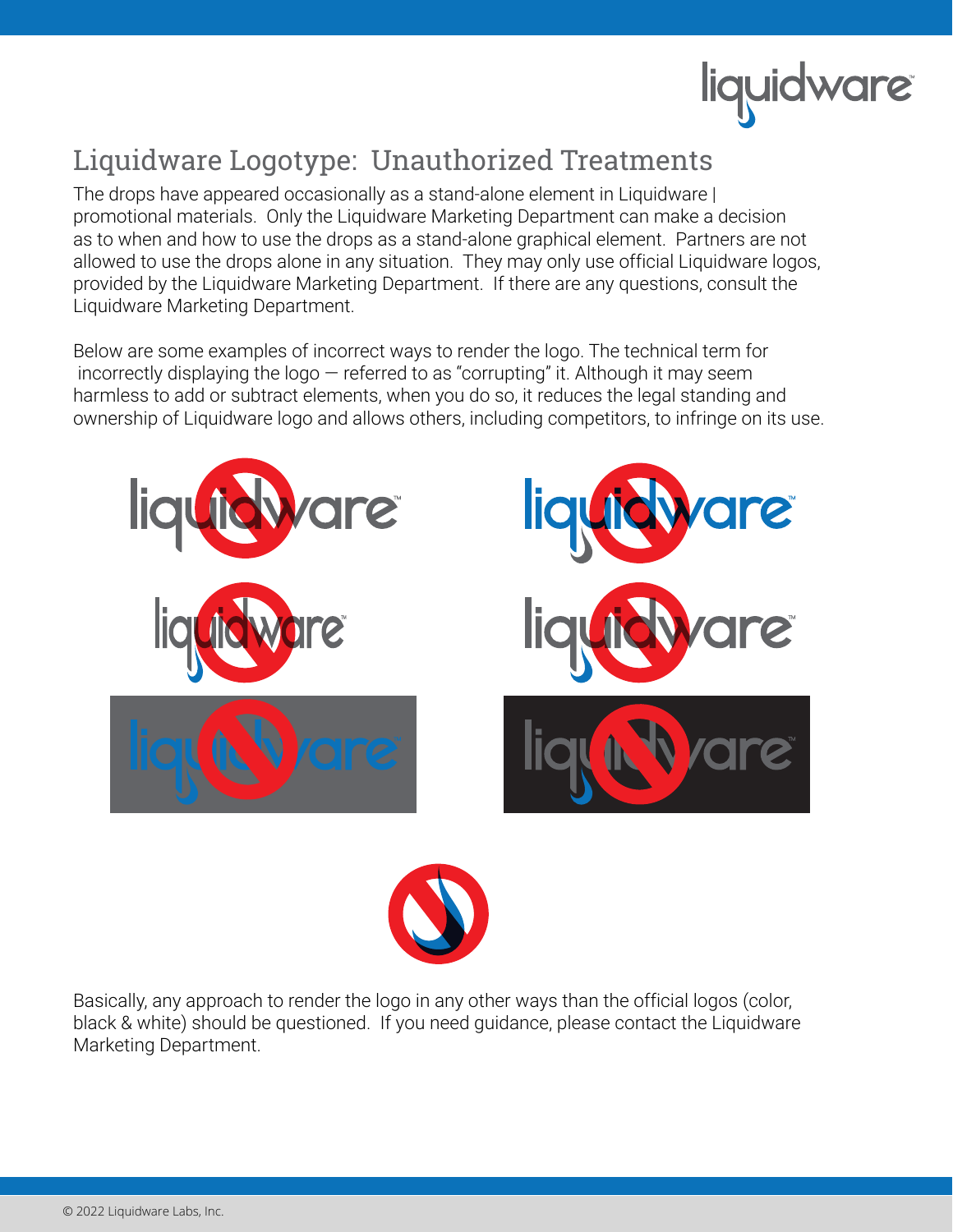#### Liquidware Logotype: Unauthorized Treatments

The drops have appeared occasionally as a stand-alone element in Liquidware | promotional materials. Only the Liquidware Marketing Department can make a decision as to when and how to use the drops as a stand-alone graphical element. Partners are not allowed to use the drops alone in any situation. They may only use official Liquidware logos, provided by the Liquidware Marketing Department. If there are any questions, consult the Liquidware Marketing Department.

Below are some examples of incorrect ways to render the logo. The technical term for incorrectly displaying the logo  $-$  referred to as "corrupting" it. Although it may seem harmless to add or subtract elements, when you do so, it reduces the legal standing and ownership of Liquidware logo and allows others, including competitors, to infringe on its use.





Basically, any approach to render the logo in any other ways than the official logos (color, black & white) should be questioned. If you need guidance, please contact the Liquidware Marketing Department.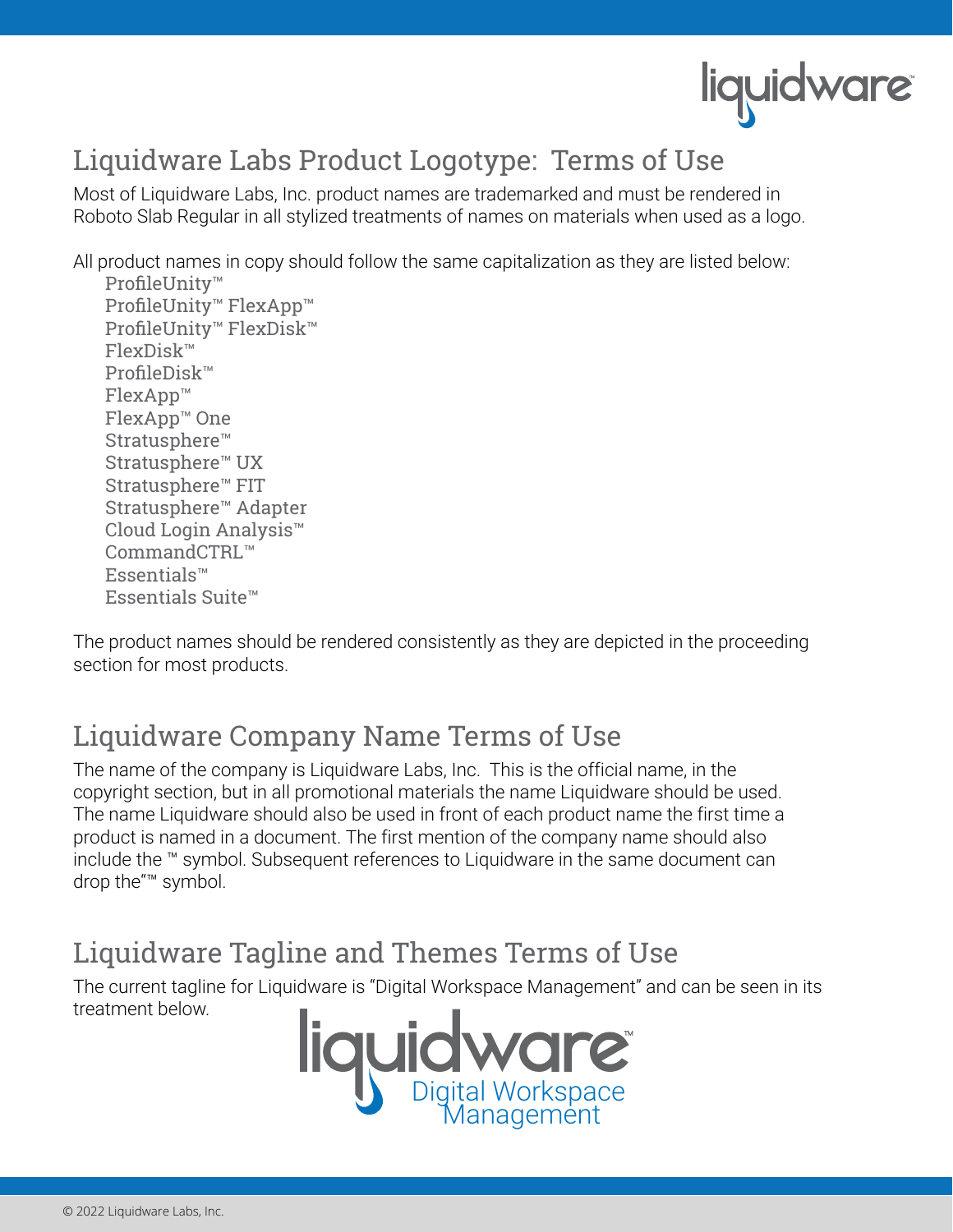#### Liquidware Labs Product Logotype: Terms of Use

Most of Liquidware Labs, Inc. product names are trademarked and must be rendered in Roboto Slab Regular in all stylized treatments of names on materials when used as a logo.

All product names in copy should follow the same capitalization as they are listed below:

ProfileUnity™ ProfileUnity™ FlexApp™ ProfileUnity™ FlexDisk™ FlexDisk™ ProfileDisk™ FlexApp™ FlexApp™ One Stratusphere™ Stratusphere™ UX Stratusphere™ FIT Stratusphere™ Adapter Cloud Login Analysis™ CommandCTRL™ Essentials™ Essentials Suite™

The product names should be rendered consistently as they are depicted in the proceeding section for most products.

#### Liquidware Company Name Terms of Use

The name of the company is Liquidware Labs, Inc. This is the official name, in the copyright section, but in all promotional materials the name Liquidware should be used. The name Liquidware should also be used in front of each product name the first time a product is named in a document. The first mention of the company name should also include the ™ symbol. Subsequent references to Liquidware in the same document can drop the"™ symbol.

#### Liquidware Tagline and Themes Terms of Use

The current tagline for Liquidware is "Digital Workspace Management" and can be seen in its treatment below.

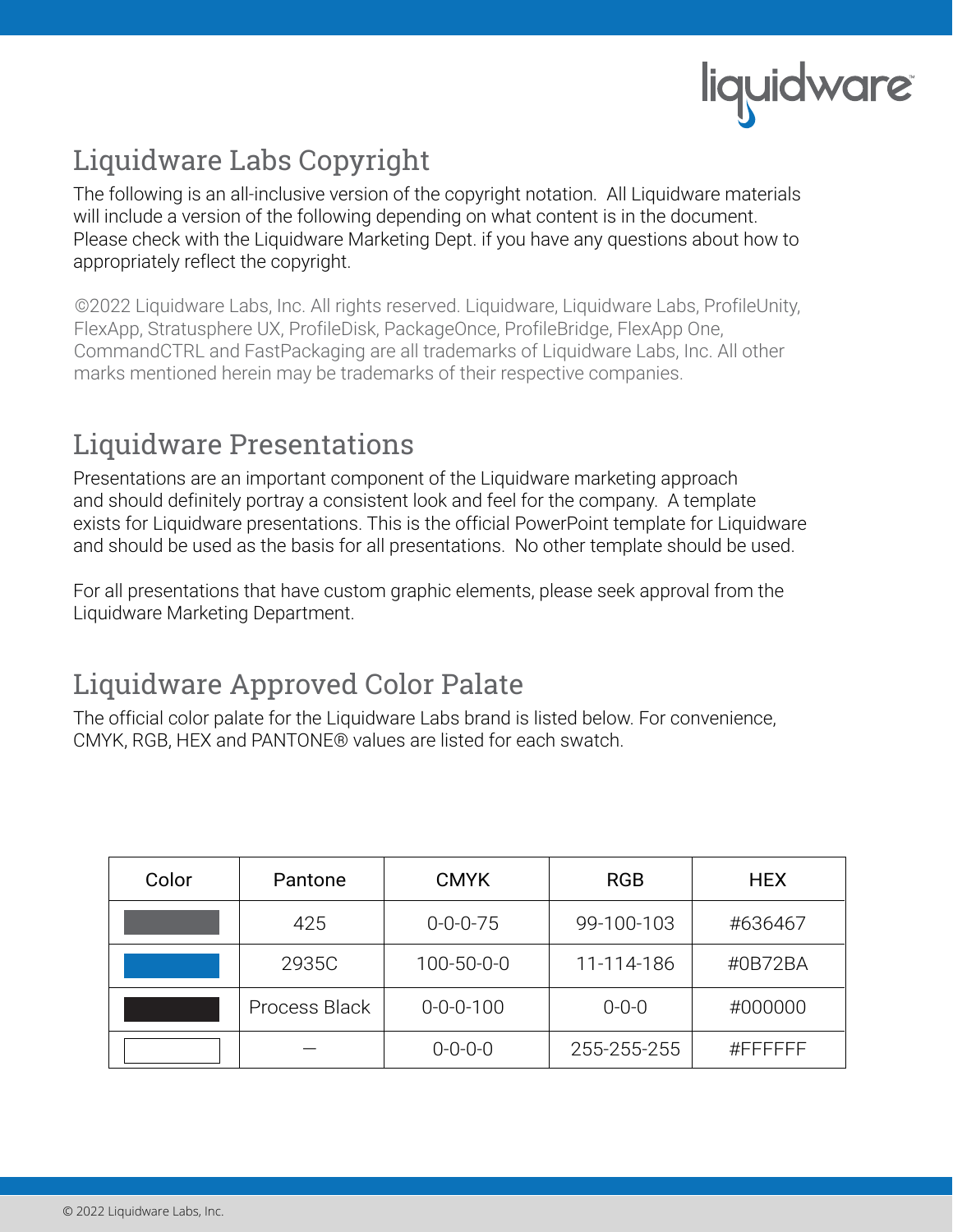

#### Liquidware Labs Copyright

The following is an all-inclusive version of the copyright notation. All Liquidware materials will include a version of the following depending on what content is in the document. Please check with the Liquidware Marketing Dept. if you have any questions about how to appropriately reflect the copyright.

©2022 Liquidware Labs, Inc. All rights reserved. Liquidware, Liquidware Labs, ProfileUnity, FlexApp, Stratusphere UX, ProfileDisk, PackageOnce, ProfileBridge, FlexApp One, CommandCTRL and FastPackaging are all trademarks of Liquidware Labs, Inc. All other marks mentioned herein may be trademarks of their respective companies.

#### Liquidware Presentations

Presentations are an important component of the Liquidware marketing approach and should definitely portray a consistent look and feel for the company. A template exists for Liquidware presentations. This is the official PowerPoint template for Liquidware and should be used as the basis for all presentations. No other template should be used.

For all presentations that have custom graphic elements, please seek approval from the Liquidware Marketing Department.

#### Liquidware Approved Color Palate

The official color palate for the Liquidware Labs brand is listed below. For convenience, CMYK, RGB, HEX and PANTONE® values are listed for each swatch.

| Color | Pantone       | <b>CMYK</b>       | <b>RGB</b>  | <b>HEX</b> |
|-------|---------------|-------------------|-------------|------------|
|       | 425           | $0 - 0 - 0 - 75$  | 99-100-103  | #636467    |
|       | 2935C         | 100-50-0-0        | 11-114-186  | #0B72BA    |
|       | Process Black | $0 - 0 - 0 - 100$ | $0 - 0 - 0$ | #000000    |
|       |               | $0 - 0 - 0 - 0$   | 255-255-255 | #FFFFFFF   |